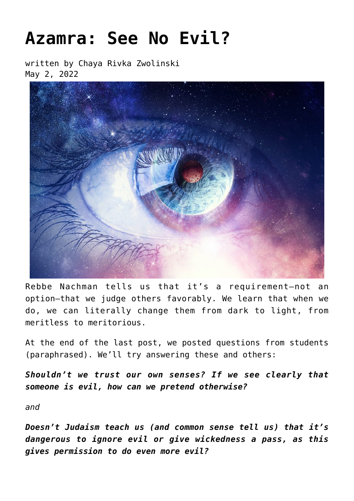## **[Azamra: See No Evil?](https://breslov.org/azamra-see-no-evil/)**

written by Chaya Rivka Zwolinski May 2, 2022



Rebbe Nachman tells us that it's a requirement—not an option—that we judge others favorably. We learn that when we do, we can literally change them from dark to light, from meritless to meritorious.

At the end of the last post, we posted questions from students (paraphrased). We'll try answering these and others:

*Shouldn't we trust our own senses? If we see clearly that someone is evil, how can we pretend otherwise?*

*and*

*Doesn't Judaism teach us (and common sense tell us) that it's dangerous to ignore evil or give wickedness a pass, as this gives permission to do even more evil?*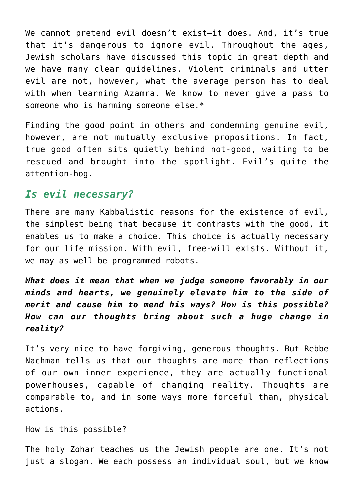We cannot pretend evil doesn't exist-it does. And, it's true that it's dangerous to ignore evil. Throughout the ages, Jewish scholars have discussed this topic in great depth and we have many clear guidelines. Violent criminals and utter evil are not, however, what the average person has to deal with when learning Azamra. We know to never give a pass to someone who is harming someone else.\*

Finding the good point in others and condemning genuine evil, however, are not mutually exclusive propositions. In fact, true good often sits quietly behind not-good, waiting to be rescued and brought into the spotlight. Evil's quite the attention-hog.

## *Is evil necessary?*

There are many Kabbalistic reasons for the existence of evil, the simplest being that because it contrasts with the good, it enables us to make a choice. This choice is actually necessary for our life mission. With evil, free-will exists. Without it, we may as well be programmed robots.

*What does it mean that when we judge someone favorably in our minds and hearts, we genuinely elevate him to the side of merit and cause him to mend his ways? How is this possible? How can our thoughts bring about such a huge change in reality?*

It's very nice to have forgiving, generous thoughts. But Rebbe Nachman tells us that our thoughts are more than reflections of our own inner experience, they are actually functional powerhouses, capable of changing reality. Thoughts are comparable to, and in some ways more forceful than, physical actions.

How is this possible?

The holy Zohar teaches us the Jewish people are one. It's not just a slogan. We each possess an individual soul, but we know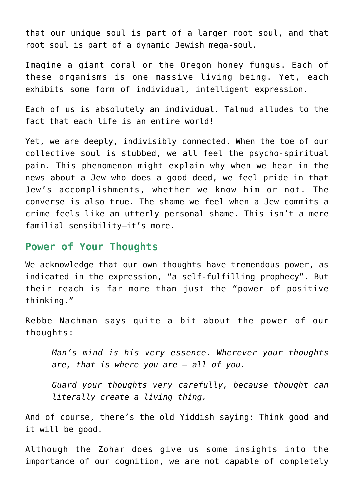that our unique soul is part of a larger root soul, and that root soul is part of a dynamic Jewish mega-soul.

Imagine a giant coral or the Oregon honey fungus. Each of these organisms is one massive living being. Yet, each exhibits some form of individual, intelligent expression.

Each of us is absolutely an individual. Talmud alludes to the fact that each life is an entire world!

Yet, we are deeply, indivisibly connected. When the toe of our collective soul is stubbed, we all feel the psycho-spiritual pain. This phenomenon might explain why when we hear in the news about a Jew who does a good deed, we feel pride in that Jew's accomplishments, whether we know him or not. The converse is also true. The shame we feel when a Jew commits a crime feels like an utterly personal shame. This isn't a mere familial sensibility—it's more.

## **Power of Your Thoughts**

We acknowledge that our own thoughts have tremendous power, as indicated in the expression, "a self-fulfilling prophecy". But their reach is far more than just the "power of positive thinking."

Rebbe Nachman says quite a bit about the power of our thoughts:

*Man's mind is his very essence. Wherever your thoughts are, that is where you are – all of you.*

*Guard your thoughts very carefully, because thought can literally create a living thing.*

And of course, there's the old Yiddish saying: Think good and it will be good.

Although the Zohar does give us some insights into the importance of our cognition, we are not capable of completely